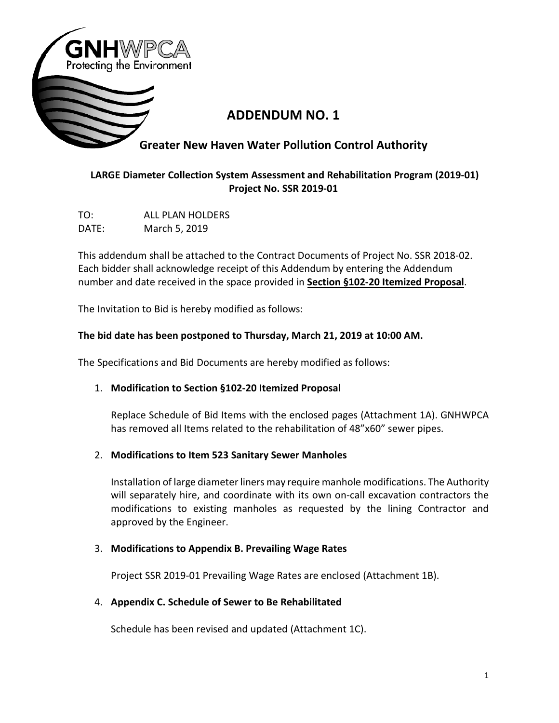

# **ADDENDUM NO. 1**

# **Greater New Haven Water Pollution Control Authority**

# **LARGE Diameter Collection System Assessment and Rehabilitation Program (2019-01) Project No. SSR 2019-01**

TO: ALL PLAN HOLDERS DATE: March 5, 2019

This addendum shall be attached to the Contract Documents of Project No. SSR 2018-02. Each bidder shall acknowledge receipt of this Addendum by entering the Addendum number and date received in the space provided in **Section §102-20 Itemized Proposal**.

The Invitation to Bid is hereby modified as follows:

## **The bid date has been postponed to Thursday, March 21, 2019 at 10:00 AM.**

The Specifications and Bid Documents are hereby modified as follows:

## 1. **Modification to Section §102-20 Itemized Proposal**

Replace Schedule of Bid Items with the enclosed pages (Attachment 1A). GNHWPCA has removed all Items related to the rehabilitation of 48"x60" sewer pipes.

## 2. **Modifications to Item 523 Sanitary Sewer Manholes**

Installation of large diameter liners may require manhole modifications. The Authority will separately hire, and coordinate with its own on-call excavation contractors the modifications to existing manholes as requested by the lining Contractor and approved by the Engineer.

#### 3. **Modifications to Appendix B. Prevailing Wage Rates**

Project SSR 2019-01 Prevailing Wage Rates are enclosed (Attachment 1B).

## 4. **Appendix C. Schedule of Sewer to Be Rehabilitated**

Schedule has been revised and updated (Attachment 1C).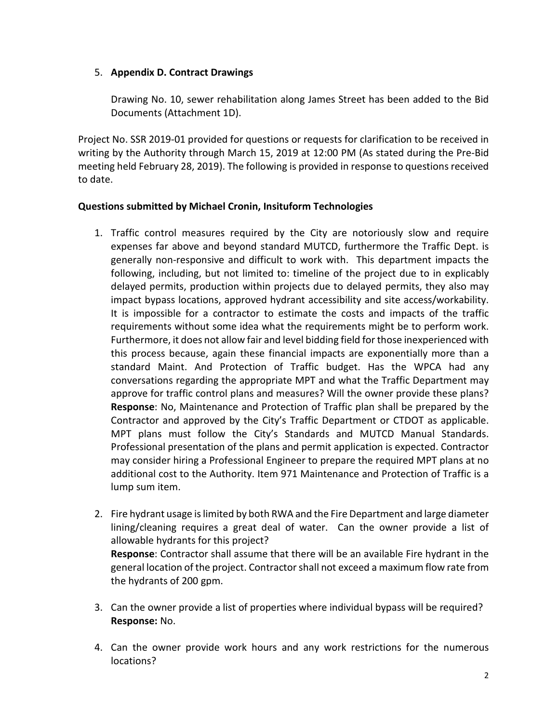## 5. **Appendix D. Contract Drawings**

Drawing No. 10, sewer rehabilitation along James Street has been added to the Bid Documents (Attachment 1D).

Project No. SSR 2019-01 provided for questions or requests for clarification to be received in writing by the Authority through March 15, 2019 at 12:00 PM (As stated during the Pre-Bid meeting held February 28, 2019). The following is provided in response to questions received to date.

#### **Questions submitted by Michael Cronin, Insituform Technologies**

- 1. Traffic control measures required by the City are notoriously slow and require expenses far above and beyond standard MUTCD, furthermore the Traffic Dept. is generally non-responsive and difficult to work with. This department impacts the following, including, but not limited to: timeline of the project due to in explicably delayed permits, production within projects due to delayed permits, they also may impact bypass locations, approved hydrant accessibility and site access/workability. It is impossible for a contractor to estimate the costs and impacts of the traffic requirements without some idea what the requirements might be to perform work. Furthermore, it does not allow fair and level bidding field for those inexperienced with this process because, again these financial impacts are exponentially more than a standard Maint. And Protection of Traffic budget. Has the WPCA had any conversations regarding the appropriate MPT and what the Traffic Department may approve for traffic control plans and measures? Will the owner provide these plans? **Response**: No, Maintenance and Protection of Traffic plan shall be prepared by the Contractor and approved by the City's Traffic Department or CTDOT as applicable. MPT plans must follow the City's Standards and MUTCD Manual Standards. Professional presentation of the plans and permit application is expected. Contractor may consider hiring a Professional Engineer to prepare the required MPT plans at no additional cost to the Authority. Item 971 Maintenance and Protection of Traffic is a lump sum item.
- 2. Fire hydrant usage is limited by both RWA and the Fire Department and large diameter lining/cleaning requires a great deal of water. Can the owner provide a list of allowable hydrants for this project? **Response**: Contractor shall assume that there will be an available Fire hydrant in the general location of the project. Contractor shall not exceed a maximum flow rate from the hydrants of 200 gpm.
- 3. Can the owner provide a list of properties where individual bypass will be required? **Response:** No.
- 4. Can the owner provide work hours and any work restrictions for the numerous locations?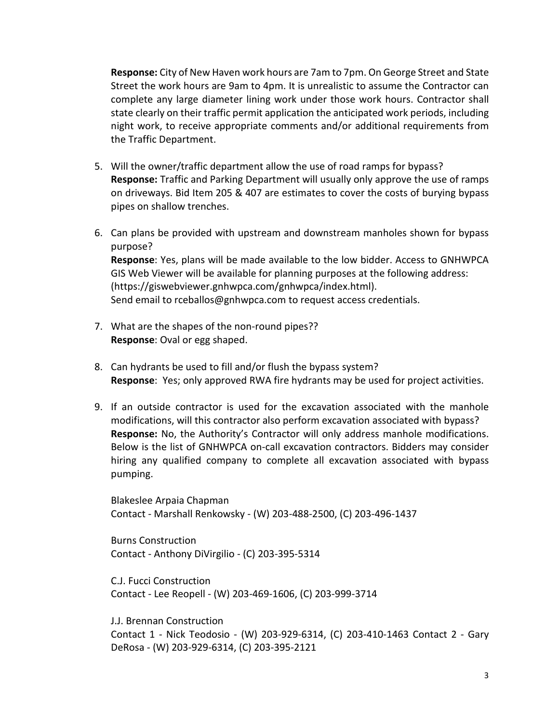**Response:** City of New Haven work hours are 7am to 7pm. On George Street and State Street the work hours are 9am to 4pm. It is unrealistic to assume the Contractor can complete any large diameter lining work under those work hours. Contractor shall state clearly on their traffic permit application the anticipated work periods, including night work, to receive appropriate comments and/or additional requirements from the Traffic Department.

- 5. Will the owner/traffic department allow the use of road ramps for bypass? **Response:** Traffic and Parking Department will usually only approve the use of ramps on driveways. Bid Item 205 & 407 are estimates to cover the costs of burying bypass pipes on shallow trenches.
- 6. Can plans be provided with upstream and downstream manholes shown for bypass purpose? **Response**: Yes, plans will be made available to the low bidder. Access to GNHWPCA GIS Web Viewer will be available for planning purposes at the following address: (https://giswebviewer.gnhwpca.com/gnhwpca/index.html). Send email to rceballos@gnhwpca.com to request access credentials.
- 7. What are the shapes of the non-round pipes?? **Response**: Oval or egg shaped.
- 8. Can hydrants be used to fill and/or flush the bypass system? **Response**: Yes; only approved RWA fire hydrants may be used for project activities.
- 9. If an outside contractor is used for the excavation associated with the manhole modifications, will this contractor also perform excavation associated with bypass? **Response:** No, the Authority's Contractor will only address manhole modifications. Below is the list of GNHWPCA on-call excavation contractors. Bidders may consider hiring any qualified company to complete all excavation associated with bypass pumping.

Blakeslee Arpaia Chapman Contact - Marshall Renkowsky - (W) 203-488-2500, (C) 203-496-1437

Burns Construction Contact - Anthony DiVirgilio - (C) 203-395-5314

C.J. Fucci Construction Contact - Lee Reopell - (W) 203-469-1606, (C) 203-999-3714

J.J. Brennan Construction Contact 1 - Nick Teodosio - (W) 203-929-6314, (C) 203-410-1463 Contact 2 - Gary DeRosa - (W) 203-929-6314, (C) 203-395-2121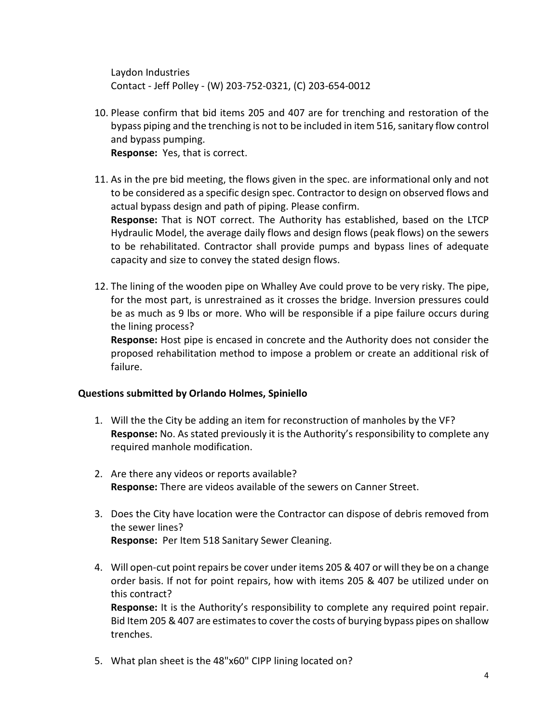Laydon Industries Contact - Jeff Polley - (W) 203-752-0321, (C) 203-654-0012

- 10. Please confirm that bid items 205 and 407 are for trenching and restoration of the bypass piping and the trenching is not to be included in item 516, sanitary flow control and bypass pumping. **Response:** Yes, that is correct.
- 11. As in the pre bid meeting, the flows given in the spec. are informational only and not to be considered as a specific design spec. Contractor to design on observed flows and actual bypass design and path of piping. Please confirm. **Response:** That is NOT correct. The Authority has established, based on the LTCP Hydraulic Model, the average daily flows and design flows (peak flows) on the sewers to be rehabilitated. Contractor shall provide pumps and bypass lines of adequate capacity and size to convey the stated design flows.
- 12. The lining of the wooden pipe on Whalley Ave could prove to be very risky. The pipe, for the most part, is unrestrained as it crosses the bridge. Inversion pressures could be as much as 9 lbs or more. Who will be responsible if a pipe failure occurs during the lining process?

**Response:** Host pipe is encased in concrete and the Authority does not consider the proposed rehabilitation method to impose a problem or create an additional risk of failure.

#### **Questions submitted by Orlando Holmes, Spiniello**

- 1. Will the the City be adding an item for reconstruction of manholes by the VF? **Response:** No. As stated previously it is the Authority's responsibility to complete any required manhole modification.
- 2. Are there any videos or reports available? **Response:** There are videos available of the sewers on Canner Street.
- 3. Does the City have location were the Contractor can dispose of debris removed from the sewer lines? **Response:** Per Item 518 Sanitary Sewer Cleaning.
- 4. Will open-cut point repairs be cover under items 205 & 407 or will they be on a change order basis. If not for point repairs, how with items 205 & 407 be utilized under on this contract? **Response:** It is the Authority's responsibility to complete any required point repair. Bid Item 205 & 407 are estimates to cover the costs of burying bypass pipes on shallow trenches.
- 5. What plan sheet is the 48"x60" CIPP lining located on?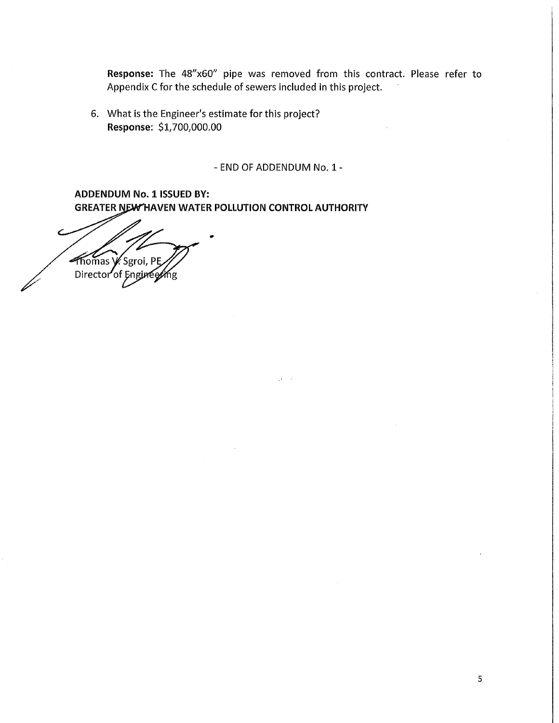Response: The 48"x60" pipe was removed from this contract. Please refer to Appendix C for the schedule of sewers included in this project.

6. What is the Engineer's estimate for this project? Response: \$1,700,000.00

- END OF ADDENDUM No. 1 -

**ADDENDUM No. 1 ISSUED BY: GREATER NEW HAVEN WATER POLLUTION CONTROL AUTHORITY** 

Thomas V. Sgroi, PE Director of Engin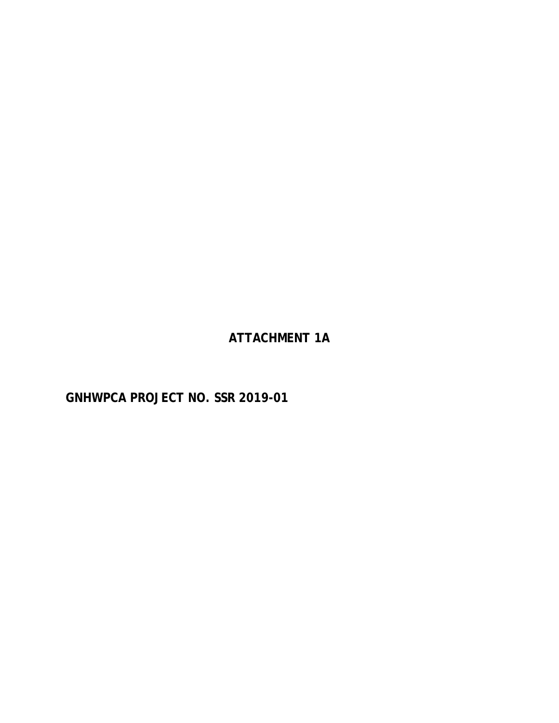**ATTACHMENT 1A**

**GNHWPCA PROJECT NO. SSR 2019-01**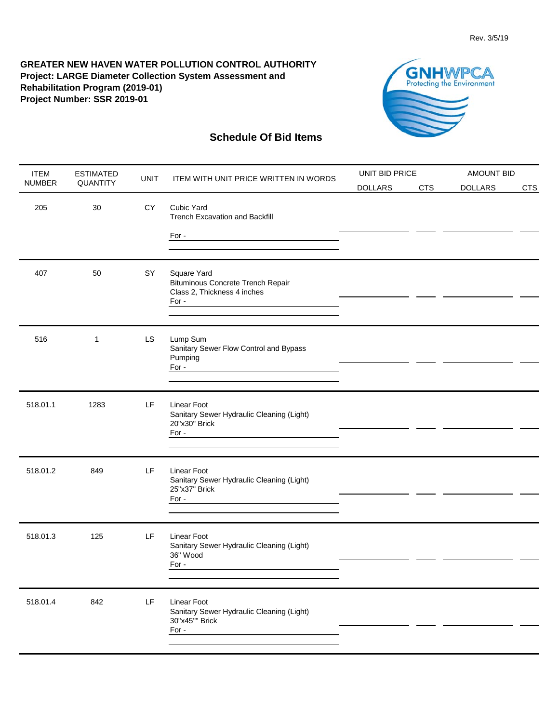

| <b>ITEM</b>   | <b>ESTIMATED</b> | <b>UNIT</b> | <b>ITEM WITH UNIT PRICE WRITTEN IN WORDS</b>                                             | UNIT BID PRICE |            | <b>AMOUNT BID</b> |            |
|---------------|------------------|-------------|------------------------------------------------------------------------------------------|----------------|------------|-------------------|------------|
| <b>NUMBER</b> | QUANTITY         |             |                                                                                          | <b>DOLLARS</b> | <b>CTS</b> | <b>DOLLARS</b>    | <b>CTS</b> |
| 205           | 30               | <b>CY</b>   | Cubic Yard<br><b>Trench Excavation and Backfill</b>                                      |                |            |                   |            |
|               |                  |             | For -                                                                                    |                |            |                   |            |
|               |                  |             |                                                                                          |                |            |                   |            |
| 407           | 50               | SY          | Square Yard<br>Bituminous Concrete Trench Repair<br>Class 2, Thickness 4 inches<br>For - |                |            |                   |            |
| 516           | 1                | LS.         | Lump Sum<br>Sanitary Sewer Flow Control and Bypass<br>Pumping<br>For -                   |                |            |                   |            |
|               |                  |             |                                                                                          |                |            |                   |            |
| 518.01.1      | 1283             | LF          | Linear Foot<br>Sanitary Sewer Hydraulic Cleaning (Light)<br>20"x30" Brick                |                |            |                   |            |
|               |                  |             | For -                                                                                    |                |            |                   |            |
| 518.01.2      | 849              | LF          | Linear Foot<br>Sanitary Sewer Hydraulic Cleaning (Light)<br>25"x37" Brick                |                |            |                   |            |
|               |                  |             | For -                                                                                    |                |            |                   |            |
| 518.01.3      | 125              | LF          | <b>Linear Foot</b><br>Sanitary Sewer Hydraulic Cleaning (Light)<br>36" Wood              |                |            |                   |            |
|               |                  |             | For -                                                                                    |                |            |                   |            |
| 518.01.4      | 842              | LF          | Linear Foot<br>Sanitary Sewer Hydraulic Cleaning (Light)<br>30"x45"" Brick<br>For -      |                |            |                   |            |
|               |                  |             |                                                                                          |                |            |                   |            |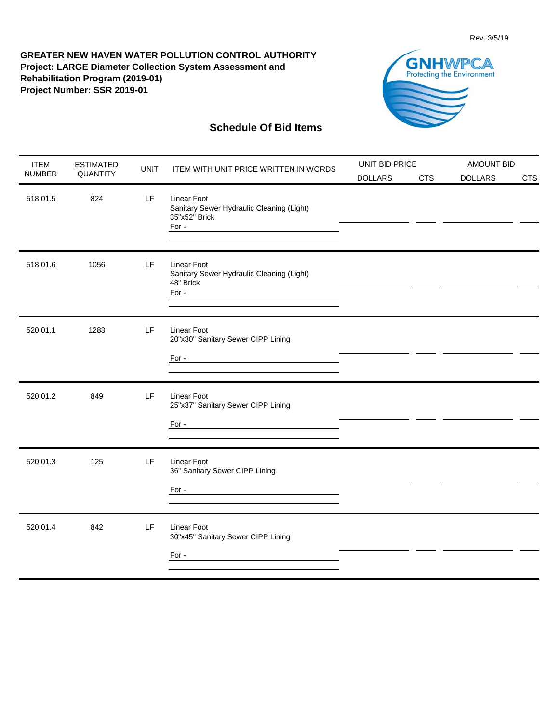

| <b>ITEM</b>   | <b>ESTIMATED</b> | <b>UNIT</b> | <b>ITEM WITH UNIT PRICE WRITTEN IN WORDS</b>                                                                                                                                              | UNIT BID PRICE |            | <b>AMOUNT BID</b> |            |
|---------------|------------------|-------------|-------------------------------------------------------------------------------------------------------------------------------------------------------------------------------------------|----------------|------------|-------------------|------------|
| <b>NUMBER</b> | QUANTITY         |             |                                                                                                                                                                                           | <b>DOLLARS</b> | <b>CTS</b> | <b>DOLLARS</b>    | <b>CTS</b> |
| 518.01.5      | 824              | LF          | <b>Linear Foot</b><br>Sanitary Sewer Hydraulic Cleaning (Light)<br>35"x52" Brick<br>For -                                                                                                 |                |            |                   |            |
| 518.01.6      | 1056             | LF          | <b>Linear Foot</b><br>Sanitary Sewer Hydraulic Cleaning (Light)<br>48" Brick<br>For -                                                                                                     |                |            |                   |            |
| 520.01.1      | 1283             | LF          | <b>Linear Foot</b><br>20"x30" Sanitary Sewer CIPP Lining<br>For -                                                                                                                         |                |            |                   |            |
| 520.01.2      | 849              | LF.         | <b>Linear Foot</b><br>25"x37" Sanitary Sewer CIPP Lining<br>For -<br><u> 1980 - Johann Barn, mars ann an t-Amhain Aonaich an t-Aonaich an t-Aonaich ann an t-Aonaich ann an t-Aonaich</u> |                |            |                   |            |
| 520.01.3      | 125              | LF.         | <b>Linear Foot</b><br>36" Sanitary Sewer CIPP Lining                                                                                                                                      |                |            |                   |            |
| 520.01.4      | 842              | LF          | <b>Linear Foot</b><br>30"x45" Sanitary Sewer CIPP Lining<br>For -                                                                                                                         |                |            |                   |            |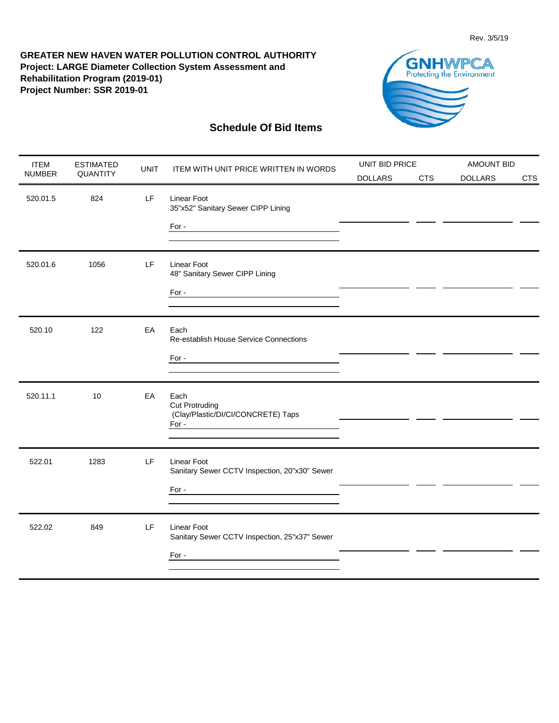

| <b>ITEM</b>   | <b>ESTIMATED</b> | <b>UNIT</b> | <b>ITEM WITH UNIT PRICE WRITTEN IN WORDS</b>                                 | UNIT BID PRICE |            | <b>AMOUNT BID</b> |            |
|---------------|------------------|-------------|------------------------------------------------------------------------------|----------------|------------|-------------------|------------|
| <b>NUMBER</b> | QUANTITY         |             |                                                                              | <b>DOLLARS</b> | <b>CTS</b> | <b>DOLLARS</b>    | <b>CTS</b> |
| 520.01.5      | 824              | LF          | <b>Linear Foot</b><br>35"x52" Sanitary Sewer CIPP Lining<br>For -            |                |            |                   |            |
|               |                  |             |                                                                              |                |            |                   |            |
| 520.01.6      | 1056             | LF          | <b>Linear Foot</b><br>48" Sanitary Sewer CIPP Lining                         |                |            |                   |            |
|               |                  |             | For -                                                                        |                |            |                   |            |
| 520.10        | 122              | EA          | Each<br>Re-establish House Service Connections                               |                |            |                   |            |
|               |                  |             | For -<br><u> 1980 - Johann Barbara, martxa alemaniar a</u>                   |                |            |                   |            |
| 520.11.1      | 10               | EA          | Each<br><b>Cut Protruding</b><br>(Clay/Plastic/DI/CI/CONCRETE) Taps<br>For - |                |            |                   |            |
|               |                  |             |                                                                              |                |            |                   |            |
| 522.01        | 1283             | LF          | Linear Foot<br>Sanitary Sewer CCTV Inspection, 20"x30" Sewer                 |                |            |                   |            |
|               |                  |             | For -<br><u> 1989 - Johann Stein, mars an deus Amerikaansk kommunister (</u> |                |            |                   |            |
| 522.02        | 849              | LF          | <b>Linear Foot</b><br>Sanitary Sewer CCTV Inspection, 25"x37" Sewer          |                |            |                   |            |
|               |                  |             | For -<br><u> 1989 - Johann Barbara, martxa alemaniar a</u>                   |                |            |                   |            |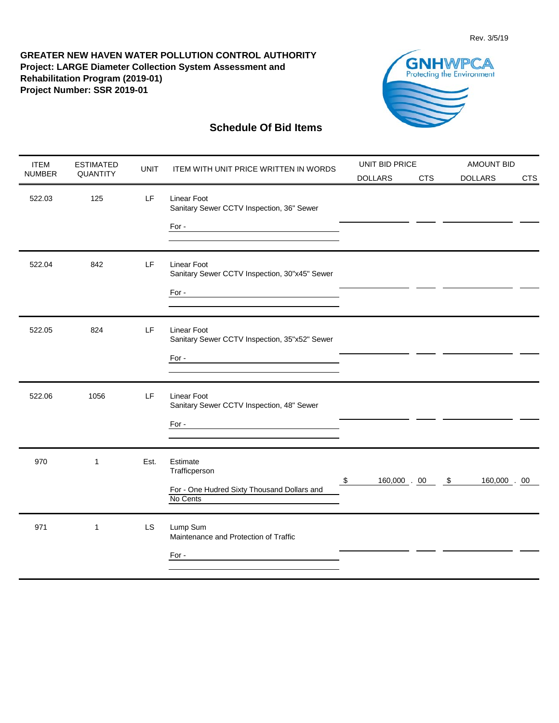

| <b>ITEM</b>   | <b>ESTIMATED</b> | <b>UNIT</b> | <b>ITEM WITH UNIT PRICE WRITTEN IN WORDS</b>                                         | UNIT BID PRICE     |            | <b>AMOUNT BID</b>          |            |
|---------------|------------------|-------------|--------------------------------------------------------------------------------------|--------------------|------------|----------------------------|------------|
| <b>NUMBER</b> | QUANTITY         |             |                                                                                      | <b>DOLLARS</b>     | <b>CTS</b> | <b>DOLLARS</b>             | <b>CTS</b> |
| 522.03        | 125              | LF          | Linear Foot<br>Sanitary Sewer CCTV Inspection, 36" Sewer<br>For -                    |                    |            |                            |            |
|               |                  |             |                                                                                      |                    |            |                            |            |
| 522.04        | 842              | LF          | <b>Linear Foot</b><br>Sanitary Sewer CCTV Inspection, 30"x45" Sewer                  |                    |            |                            |            |
|               |                  |             | For -                                                                                |                    |            |                            |            |
| 522.05        | 824              | LF          | Linear Foot<br>Sanitary Sewer CCTV Inspection, 35"x52" Sewer                         |                    |            |                            |            |
|               |                  |             | For -                                                                                |                    |            |                            |            |
| 522.06        | 1056             | LF.         | Linear Foot<br>Sanitary Sewer CCTV Inspection, 48" Sewer                             |                    |            |                            |            |
|               |                  |             | For -                                                                                |                    |            |                            |            |
| 970           | $\mathbf{1}$     | Est.        | Estimate<br>Trafficperson<br>For - One Hudred Sixty Thousand Dollars and<br>No Cents | \$<br>160,000 . 00 |            | $\sqrt{5}$<br>160,000 . 00 |            |
|               |                  |             |                                                                                      |                    |            |                            |            |
| 971           | $\mathbf{1}$     | <b>LS</b>   | Lump Sum<br>Maintenance and Protection of Traffic                                    |                    |            |                            |            |
|               |                  |             | For -                                                                                |                    |            |                            |            |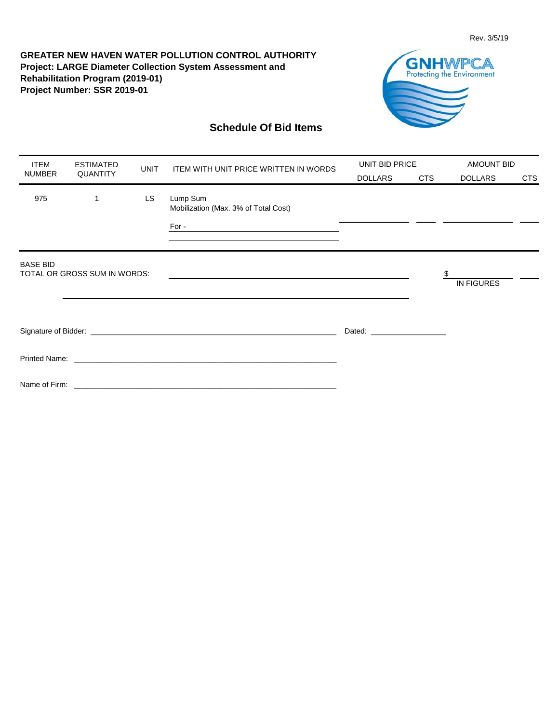

| <b>ITEM</b><br><b>ESTIMATED</b><br><b>UNIT</b> |                              |                 | ITEM WITH UNIT PRICE WRITTEN IN WORDS                                                                                                                                                                                         | UNIT BID PRICE |     | <b>AMOUNT BID</b> |     |
|------------------------------------------------|------------------------------|-----------------|-------------------------------------------------------------------------------------------------------------------------------------------------------------------------------------------------------------------------------|----------------|-----|-------------------|-----|
| <b>NUMBER</b>                                  |                              | <b>QUANTITY</b> |                                                                                                                                                                                                                               | <b>DOLLARS</b> | CTS | <b>DOLLARS</b>    | CTS |
| 975                                            | 1                            | LS              | Lump Sum<br>Mobilization (Max. 3% of Total Cost)                                                                                                                                                                              |                |     |                   |     |
| <b>BASE BID</b>                                | TOTAL OR GROSS SUM IN WORDS: |                 |                                                                                                                                                                                                                               |                |     | <b>IN FIGURES</b> |     |
|                                                |                              |                 |                                                                                                                                                                                                                               |                |     |                   |     |
|                                                |                              |                 |                                                                                                                                                                                                                               |                |     |                   |     |
|                                                |                              |                 | Name of Firm: the contract of the contract of the contract of the contract of the contract of the contract of the contract of the contract of the contract of the contract of the contract of the contract of the contract of |                |     |                   |     |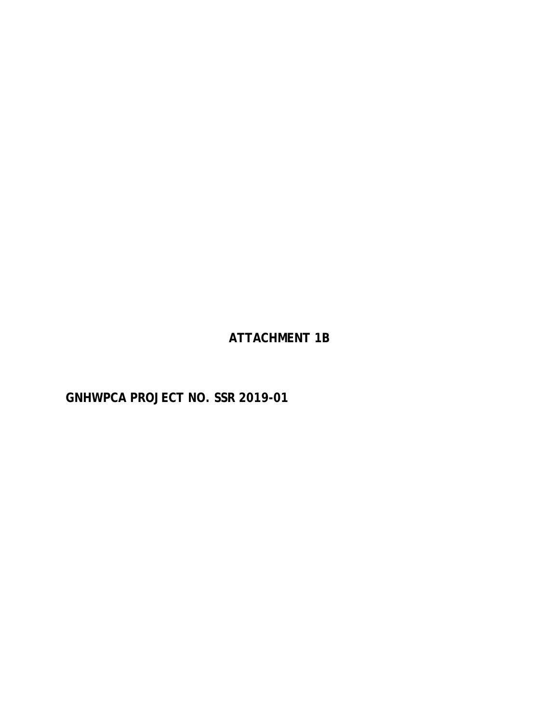**ATTACHMENT 1B**

**GNHWPCA PROJECT NO. SSR 2019-01**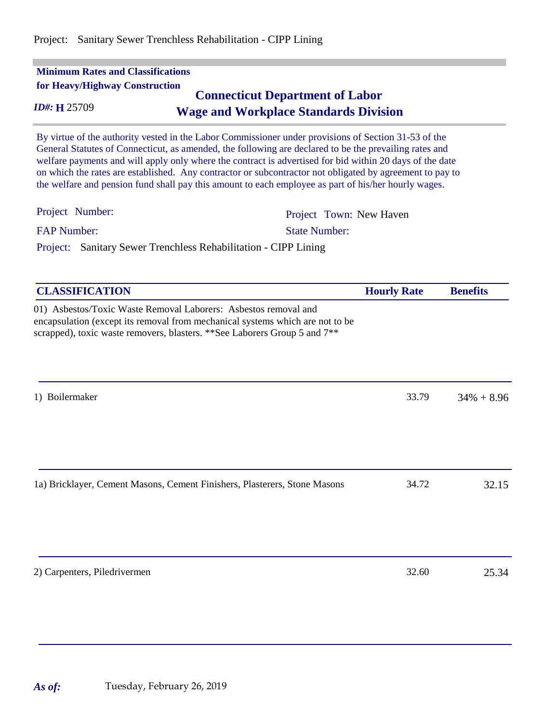| <b>Minimum Rates and Classifications</b><br>for Heavy/Highway Construction<br>ID#: H 25709 | <b>Connecticut Department of Labor</b><br><b>Wage and Workplace Standards Division</b>                                                                                                                                                                                                                                                                                                                                                                                                                                                         |                    |                 |
|--------------------------------------------------------------------------------------------|------------------------------------------------------------------------------------------------------------------------------------------------------------------------------------------------------------------------------------------------------------------------------------------------------------------------------------------------------------------------------------------------------------------------------------------------------------------------------------------------------------------------------------------------|--------------------|-----------------|
|                                                                                            | By virtue of the authority vested in the Labor Commissioner under provisions of Section 31-53 of the<br>General Statutes of Connecticut, as amended, the following are declared to be the prevailing rates and<br>welfare payments and will apply only where the contract is advertised for bid within 20 days of the date<br>on which the rates are established. Any contractor or subcontractor not obligated by agreement to pay to<br>the welfare and pension fund shall pay this amount to each employee as part of his/her hourly wages. |                    |                 |
| Project Number:                                                                            | Project Town: New Haven                                                                                                                                                                                                                                                                                                                                                                                                                                                                                                                        |                    |                 |
| <b>FAP Number:</b>                                                                         | <b>State Number:</b>                                                                                                                                                                                                                                                                                                                                                                                                                                                                                                                           |                    |                 |
| Project:                                                                                   | Sanitary Sewer Trenchless Rehabilitation - CIPP Lining                                                                                                                                                                                                                                                                                                                                                                                                                                                                                         |                    |                 |
| <b>CLASSIFICATION</b>                                                                      |                                                                                                                                                                                                                                                                                                                                                                                                                                                                                                                                                | <b>Hourly Rate</b> | <b>Benefits</b> |
|                                                                                            | 01) Asbestos/Toxic Waste Removal Laborers: Asbestos removal and<br>encapsulation (except its removal from mechanical systems which are not to be<br>scrapped), toxic waste removers, blasters. **See Laborers Group 5 and 7**                                                                                                                                                                                                                                                                                                                  |                    |                 |
| 1) Boilermaker                                                                             |                                                                                                                                                                                                                                                                                                                                                                                                                                                                                                                                                | 33.79              | $34\% + 8.96$   |
|                                                                                            | 1a) Bricklayer, Cement Masons, Cement Finishers, Plasterers, Stone Masons                                                                                                                                                                                                                                                                                                                                                                                                                                                                      | 34.72              | 32.15           |
| 2) Carpenters, Piledrivermen                                                               |                                                                                                                                                                                                                                                                                                                                                                                                                                                                                                                                                | 32.60              | 25.34           |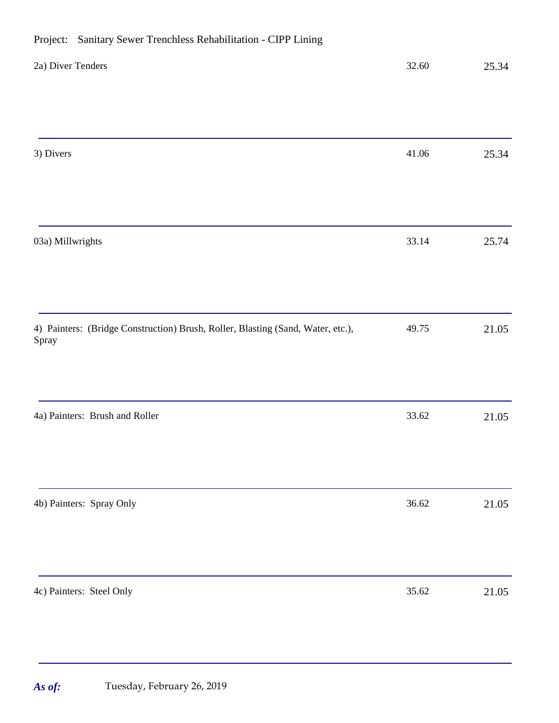| 2a) Diver Tenders                                                                        | 32.60     | 25.34 |
|------------------------------------------------------------------------------------------|-----------|-------|
|                                                                                          |           |       |
| 3) Divers                                                                                | $41.06\,$ | 25.34 |
|                                                                                          |           |       |
| 03a) Millwrights                                                                         | 33.14     | 25.74 |
|                                                                                          |           |       |
| 4) Painters: (Bridge Construction) Brush, Roller, Blasting (Sand, Water, etc.),<br>Spray | 49.75     | 21.05 |
|                                                                                          |           |       |
| 4a) Painters: Brush and Roller                                                           | 33.62     | 21.05 |
|                                                                                          |           |       |
| 4b) Painters: Spray Only                                                                 | 36.62     | 21.05 |
|                                                                                          |           |       |
| 4c) Painters: Steel Only                                                                 | 35.62     | 21.05 |

# Project: Sanitary Sewer Trenchless Rehabilitation - CIPP Lining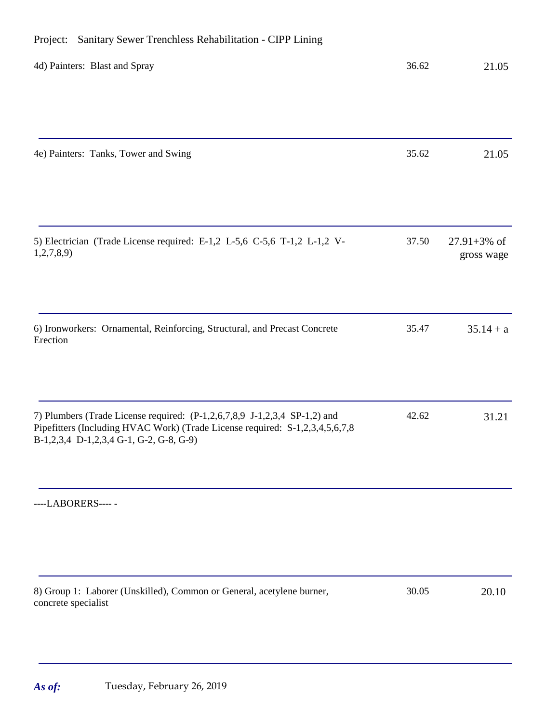# 4d) Painters: Blast and Spray 36.62 21.05 4e) Painters: Tanks, Tower and Swing 35.62 21.05 5) Electrician (Trade License required: E-1,2 L-5,6 C-5,6 T-1,2 L-1,2 V-1,2,7,8,9) 37.50 27.91+3% of gross wage 6) Ironworkers: Ornamental, Reinforcing, Structural, and Precast Concrete Erection  $35.47$   $35.14 + a$ 7) Plumbers (Trade License required: (P-1,2,6,7,8,9 J-1,2,3,4 SP-1,2) and Pipefitters (Including HVAC Work) (Trade License required: S-1,2,3,4,5,6,7,8 B-1,2,3,4 D-1,2,3,4 G-1, G-2, G-8, G-9) 42.62 31.21 ----LABORERS---- - 8) Group 1: Laborer (Unskilled), Common or General, acetylene burner, concrete specialist 30.05 20.10

# Project: Sanitary Sewer Trenchless Rehabilitation - CIPP Lining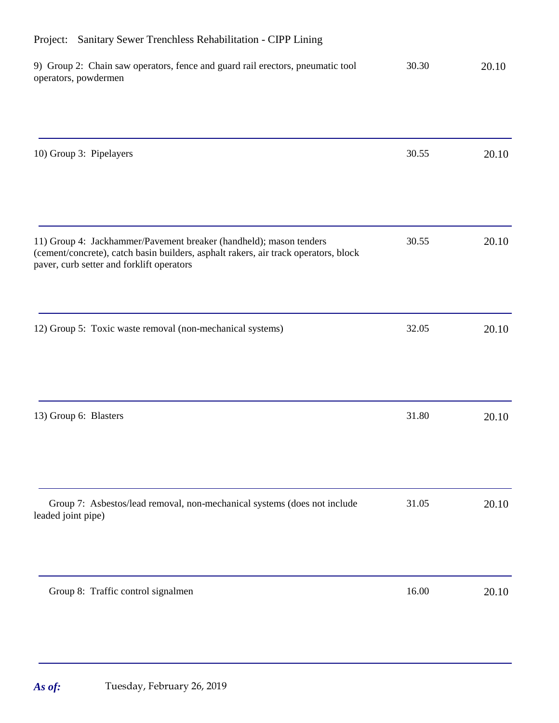| 9) Group 2: Chain saw operators, fence and guard rail erectors, pneumatic tool<br>operators, powdermen                                                                                                 | 30.30 | 20.10 |
|--------------------------------------------------------------------------------------------------------------------------------------------------------------------------------------------------------|-------|-------|
|                                                                                                                                                                                                        |       |       |
| 10) Group 3: Pipelayers                                                                                                                                                                                | 30.55 | 20.10 |
|                                                                                                                                                                                                        |       |       |
| 11) Group 4: Jackhammer/Pavement breaker (handheld); mason tenders<br>(cement/concrete), catch basin builders, asphalt rakers, air track operators, block<br>paver, curb setter and forklift operators | 30.55 | 20.10 |
| 12) Group 5: Toxic waste removal (non-mechanical systems)                                                                                                                                              | 32.05 | 20.10 |
| 13) Group 6: Blasters                                                                                                                                                                                  | 31.80 | 20.10 |
| Group 7: Asbestos/lead removal, non-mechanical systems (does not include<br>leaded joint pipe)                                                                                                         | 31.05 | 20.10 |
| Group 8: Traffic control signalmen                                                                                                                                                                     | 16.00 |       |
|                                                                                                                                                                                                        |       | 20.10 |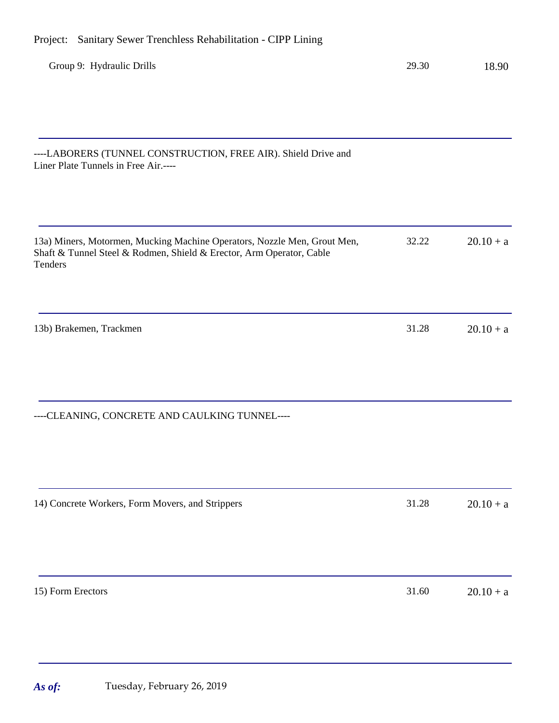| Group 9: Hydraulic Drills                                                                                                                                   | 29.30 | 18.90       |
|-------------------------------------------------------------------------------------------------------------------------------------------------------------|-------|-------------|
|                                                                                                                                                             |       |             |
| ----LABORERS (TUNNEL CONSTRUCTION, FREE AIR). Shield Drive and<br>Liner Plate Tunnels in Free Air.----                                                      |       |             |
| 13a) Miners, Motormen, Mucking Machine Operators, Nozzle Men, Grout Men,<br>Shaft & Tunnel Steel & Rodmen, Shield & Erector, Arm Operator, Cable<br>Tenders | 32.22 | $20.10 + a$ |
| 13b) Brakemen, Trackmen                                                                                                                                     | 31.28 | $20.10 + a$ |
| ----CLEANING, CONCRETE AND CAULKING TUNNEL----                                                                                                              |       |             |
| 14) Concrete Workers, Form Movers, and Strippers                                                                                                            | 31.28 | $20.10 + a$ |
| 15) Form Erectors                                                                                                                                           | 31.60 | $20.10 + a$ |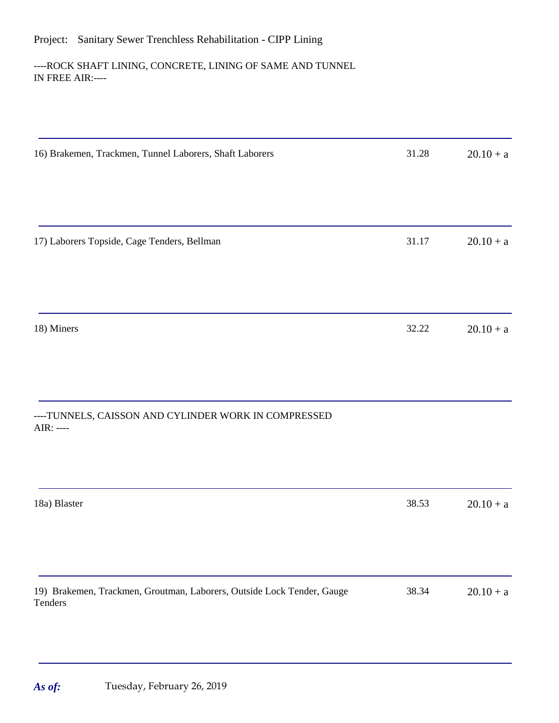# Project: Sanitary Sewer Trenchless Rehabilitation - CIPP Lining

# ----ROCK SHAFT LINING, CONCRETE, LINING OF SAME AND TUNNEL IN FREE AIR:----

| 16) Brakemen, Trackmen, Tunnel Laborers, Shaft Laborers                           | 31.28 | $20.10 + a$ |
|-----------------------------------------------------------------------------------|-------|-------------|
|                                                                                   |       |             |
| 17) Laborers Topside, Cage Tenders, Bellman                                       | 31.17 | $20.10 + a$ |
|                                                                                   |       |             |
| 18) Miners                                                                        | 32.22 | $20.10 + a$ |
|                                                                                   |       |             |
| ----TUNNELS, CAISSON AND CYLINDER WORK IN COMPRESSED<br>$AIR: ---$                |       |             |
|                                                                                   |       |             |
| 18a) Blaster                                                                      | 38.53 | $20.10 + a$ |
|                                                                                   |       |             |
| 19) Brakemen, Trackmen, Groutman, Laborers, Outside Lock Tender, Gauge<br>Tenders | 38.34 | $20.10 + a$ |
|                                                                                   |       |             |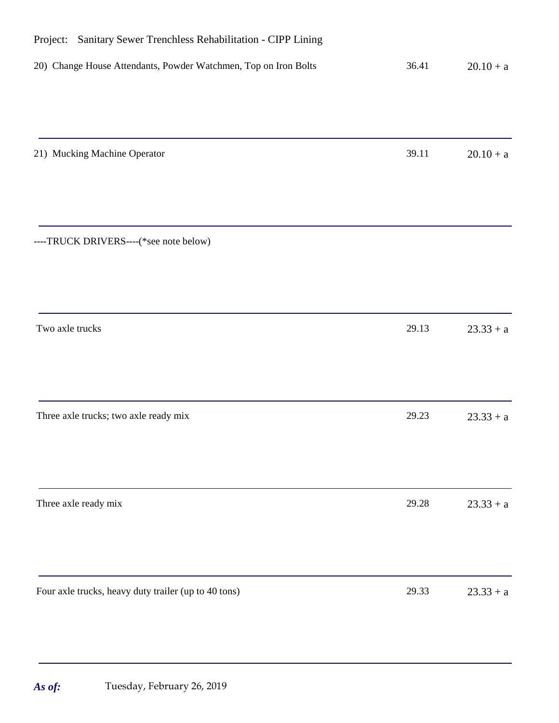| Project:<br>Sanitary Sewer Trenchless Rehabilitation - CIPP Lining |       |             |
|--------------------------------------------------------------------|-------|-------------|
| 20) Change House Attendants, Powder Watchmen, Top on Iron Bolts    | 36.41 | $20.10 + a$ |
|                                                                    |       |             |
| 21) Mucking Machine Operator                                       | 39.11 | $20.10 + a$ |
|                                                                    |       |             |
| ----TRUCK DRIVERS----(*see note below)                             |       |             |
|                                                                    |       |             |
| Two axle trucks                                                    | 29.13 | $23.33 + a$ |
|                                                                    |       |             |
| Three axle trucks; two axle ready mix                              | 29.23 | $23.33 + a$ |
|                                                                    |       |             |
| Three axle ready mix                                               | 29.28 | $23.33 + a$ |
|                                                                    |       |             |
| Four axle trucks, heavy duty trailer (up to 40 tons)               | 29.33 | $23.33 + a$ |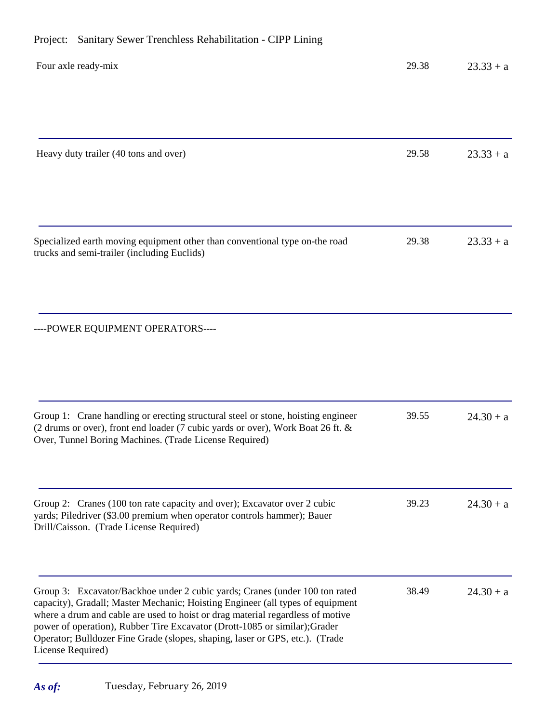# Project: Sanitary Sewer Trenchless Rehabilitation - CIPP Lining

| Four axle ready-mix                                                                                                                                                                                                                                                                                                                                                                                                                | 29.38 | $23.33 + a$ |
|------------------------------------------------------------------------------------------------------------------------------------------------------------------------------------------------------------------------------------------------------------------------------------------------------------------------------------------------------------------------------------------------------------------------------------|-------|-------------|
|                                                                                                                                                                                                                                                                                                                                                                                                                                    |       |             |
| Heavy duty trailer (40 tons and over)                                                                                                                                                                                                                                                                                                                                                                                              | 29.58 | $23.33 + a$ |
| Specialized earth moving equipment other than conventional type on-the road                                                                                                                                                                                                                                                                                                                                                        | 29.38 | $23.33 + a$ |
| trucks and semi-trailer (including Euclids)                                                                                                                                                                                                                                                                                                                                                                                        |       |             |
| ----POWER EQUIPMENT OPERATORS----                                                                                                                                                                                                                                                                                                                                                                                                  |       |             |
| Group 1: Crane handling or erecting structural steel or stone, hoisting engineer<br>(2 drums or over), front end loader (7 cubic yards or over), Work Boat 26 ft. &<br>Over, Tunnel Boring Machines. (Trade License Required)                                                                                                                                                                                                      | 39.55 | $24.30 + a$ |
| Group 2: Cranes (100 ton rate capacity and over); Excavator over 2 cubic<br>yards; Piledriver (\$3.00 premium when operator controls hammer); Bauer<br>Drill/Caisson. (Trade License Required)                                                                                                                                                                                                                                     | 39.23 | $24.30 + a$ |
| Group 3: Excavator/Backhoe under 2 cubic yards; Cranes (under 100 ton rated<br>capacity), Gradall; Master Mechanic; Hoisting Engineer (all types of equipment<br>where a drum and cable are used to hoist or drag material regardless of motive<br>power of operation), Rubber Tire Excavator (Drott-1085 or similar); Grader<br>Operator; Bulldozer Fine Grade (slopes, shaping, laser or GPS, etc.). (Trade<br>License Required) | 38.49 | $24.30 + a$ |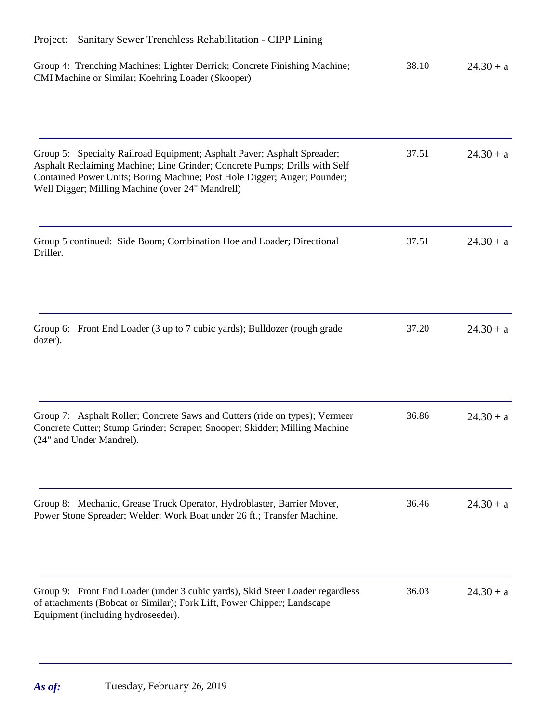| Sanitary Sewer Trenchless Rehabilitation - CIPP Lining<br>Project:                                                                                                                                                                                                                    |       |             |  |
|---------------------------------------------------------------------------------------------------------------------------------------------------------------------------------------------------------------------------------------------------------------------------------------|-------|-------------|--|
| Group 4: Trenching Machines; Lighter Derrick; Concrete Finishing Machine;<br>CMI Machine or Similar; Koehring Loader (Skooper)                                                                                                                                                        | 38.10 | $24.30 + a$ |  |
| Group 5: Specialty Railroad Equipment; Asphalt Paver; Asphalt Spreader;<br>Asphalt Reclaiming Machine; Line Grinder; Concrete Pumps; Drills with Self<br>Contained Power Units; Boring Machine; Post Hole Digger; Auger; Pounder;<br>Well Digger; Milling Machine (over 24" Mandrell) | 37.51 | $24.30 + a$ |  |
| Group 5 continued: Side Boom; Combination Hoe and Loader; Directional<br>Driller.                                                                                                                                                                                                     | 37.51 | $24.30 + a$ |  |
| Group 6: Front End Loader (3 up to 7 cubic yards); Bulldozer (rough grade<br>dozer).                                                                                                                                                                                                  | 37.20 | $24.30 + a$ |  |
| Group 7: Asphalt Roller; Concrete Saws and Cutters (ride on types); Vermeer<br>Concrete Cutter; Stump Grinder; Scraper; Snooper; Skidder; Milling Machine<br>(24" and Under Mandrel).                                                                                                 | 36.86 | $24.30 + a$ |  |
| Group 8: Mechanic, Grease Truck Operator, Hydroblaster, Barrier Mover,<br>Power Stone Spreader; Welder; Work Boat under 26 ft.; Transfer Machine.                                                                                                                                     | 36.46 | $24.30 + a$ |  |
| Group 9: Front End Loader (under 3 cubic yards), Skid Steer Loader regardless<br>of attachments (Bobcat or Similar); Fork Lift, Power Chipper; Landscape<br>Equipment (including hydroseeder).                                                                                        | 36.03 | $24.30 + a$ |  |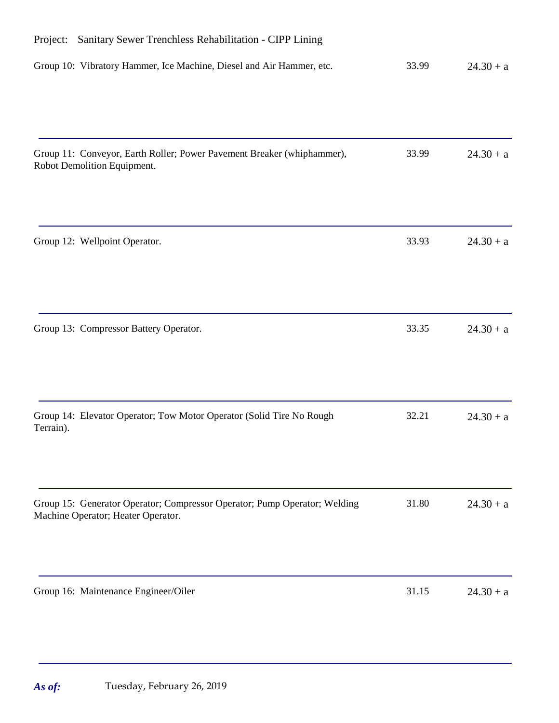| Sanitary Sewer Trenchless Rehabilitation - CIPP Lining<br>Project:                                              |       |             |
|-----------------------------------------------------------------------------------------------------------------|-------|-------------|
| Group 10: Vibratory Hammer, Ice Machine, Diesel and Air Hammer, etc.                                            | 33.99 | $24.30 + a$ |
| Group 11: Conveyor, Earth Roller; Power Pavement Breaker (whiphammer),<br>Robot Demolition Equipment.           | 33.99 | $24.30 + a$ |
| Group 12: Wellpoint Operator.                                                                                   | 33.93 | $24.30 + a$ |
| Group 13: Compressor Battery Operator.                                                                          | 33.35 | $24.30 + a$ |
| Group 14: Elevator Operator; Tow Motor Operator (Solid Tire No Rough<br>Terrain).                               | 32.21 | $24.30 + a$ |
| Group 15: Generator Operator; Compressor Operator; Pump Operator; Welding<br>Machine Operator; Heater Operator. | 31.80 | $24.30 + a$ |
| Group 16: Maintenance Engineer/Oiler                                                                            | 31.15 | $24.30 + a$ |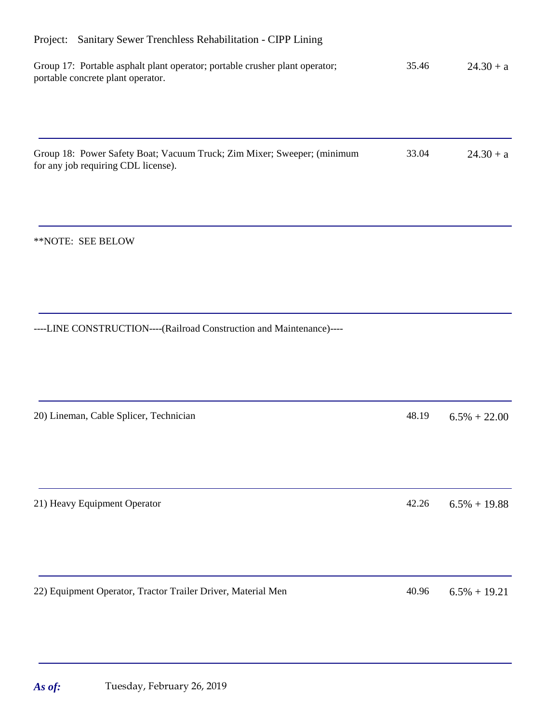| Project: Sanitary Sewer Trenchless Rehabilitation - CIPP Lining                                                  |       |                 |  |
|------------------------------------------------------------------------------------------------------------------|-------|-----------------|--|
| Group 17: Portable asphalt plant operator; portable crusher plant operator;<br>portable concrete plant operator. | 35.46 | $24.30 + a$     |  |
|                                                                                                                  | 33.04 |                 |  |
| Group 18: Power Safety Boat; Vacuum Truck; Zim Mixer; Sweeper; (minimum<br>for any job requiring CDL license).   |       | $24.30 + a$     |  |
| **NOTE: SEE BELOW                                                                                                |       |                 |  |
| ----LINE CONSTRUCTION----(Railroad Construction and Maintenance)----                                             |       |                 |  |
| 20) Lineman, Cable Splicer, Technician                                                                           | 48.19 | $6.5\% + 22.00$ |  |
| 21) Heavy Equipment Operator                                                                                     | 42.26 | $6.5\% + 19.88$ |  |
| 22) Equipment Operator, Tractor Trailer Driver, Material Men                                                     | 40.96 | $6.5\% + 19.21$ |  |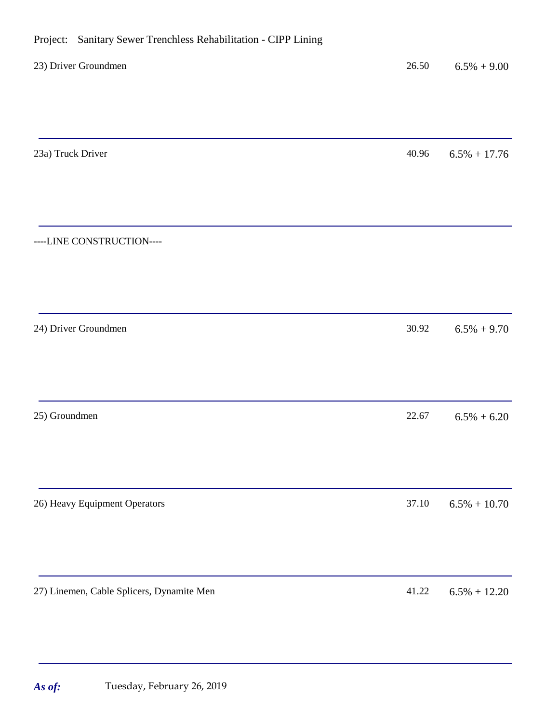----LINE CONSTRUCTION----

#### 23a) Truck Driver  $\frac{40.96}{6.5\% + 17.76}$

| 24) Driver Groundmen          | 30.92 | $6.5\% + 9.70$  |
|-------------------------------|-------|-----------------|
|                               |       |                 |
| 25) Groundmen                 | 22.67 | $6.5\% + 6.20$  |
|                               |       |                 |
| 26) Heavy Equipment Operators | 37.10 | $6.5\% + 10.70$ |
|                               |       |                 |

27) Linemen, Cable Splicers, Dynamite Men  $41.22$  6.5% + 12.20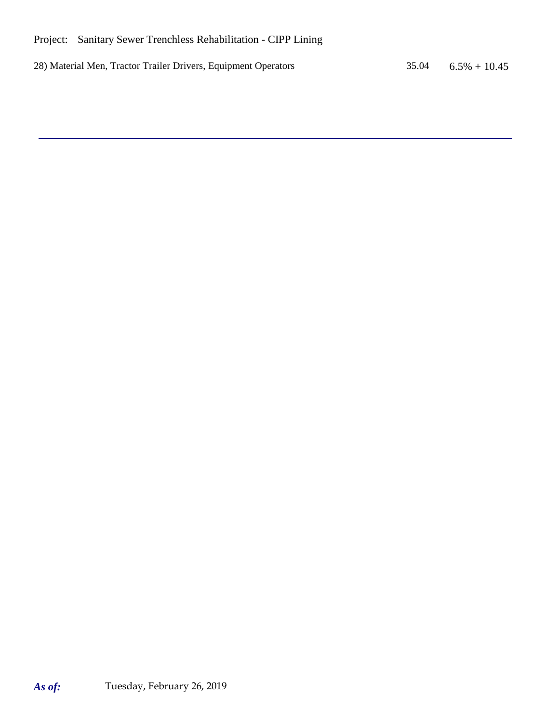28) Material Men, Tractor Trailer Drivers, Equipment Operators 35.04 6.5% + 10.45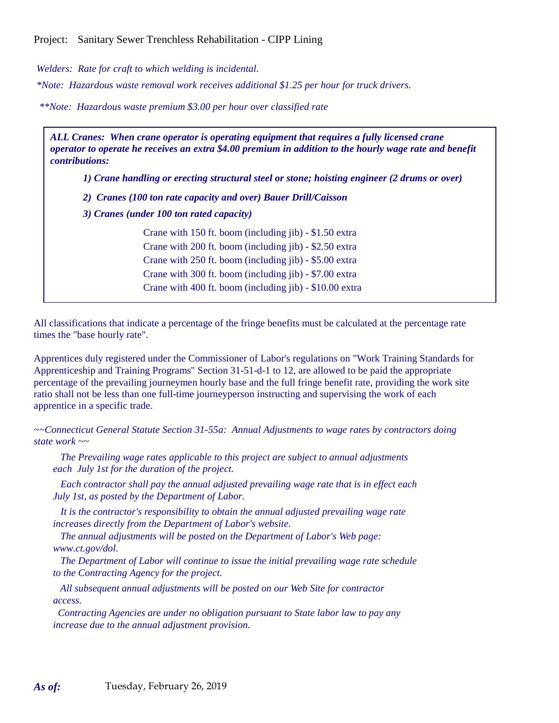*Welders: Rate for craft to which welding is incidental.*

*\*Note: Hazardous waste removal work receives additional \$1.25 per hour for truck drivers.*

*\*\*Note: Hazardous waste premium \$3.00 per hour over classified rate*

*ALL Cranes: When crane operator is operating equipment that requires a fully licensed crane operator to operate he receives an extra \$4.00 premium in addition to the hourly wage rate and benefit contributions:*

*1) Crane handling or erecting structural steel or stone; hoisting engineer (2 drums or over)*

*2) Cranes (100 ton rate capacity and over) Bauer Drill/Caisson*

*3) Cranes (under 100 ton rated capacity)*

Crane with 150 ft. boom (including jib) - \$1.50 extra Crane with 200 ft. boom (including jib) - \$2.50 extra Crane with 250 ft. boom (including jib) - \$5.00 extra Crane with 300 ft. boom (including jib) - \$7.00 extra Crane with 400 ft. boom (including jib) - \$10.00 extra

All classifications that indicate a percentage of the fringe benefits must be calculated at the percentage rate times the "base hourly rate".

Apprentices duly registered under the Commissioner of Labor's regulations on "Work Training Standards for Apprenticeship and Training Programs" Section 31-51-d-1 to 12, are allowed to be paid the appropriate percentage of the prevailing journeymen hourly base and the full fringe benefit rate, providing the work site ratio shall not be less than one full-time journeyperson instructing and supervising the work of each apprentice in a specific trade.

*~~Connecticut General Statute Section 31-55a: Annual Adjustments to wage rates by contractors doing state work ~~*

 *The Prevailing wage rates applicable to this project are subject to annual adjustments each July 1st for the duration of the project.* 

 *Each contractor shall pay the annual adjusted prevailing wage rate that is in effect each July 1st, as posted by the Department of Labor.* 

 *It is the contractor's responsibility to obtain the annual adjusted prevailing wage rate increases directly from the Department of Labor's website.*

 *The annual adjustments will be posted on the Department of Labor's Web page: www.ct.gov/dol.*

 *The Department of Labor will continue to issue the initial prevailing wage rate schedule to the Contracting Agency for the project.*

 *All subsequent annual adjustments will be posted on our Web Site for contractor access.* 

 *Contracting Agencies are under no obligation pursuant to State labor law to pay any increase due to the annual adjustment provision.*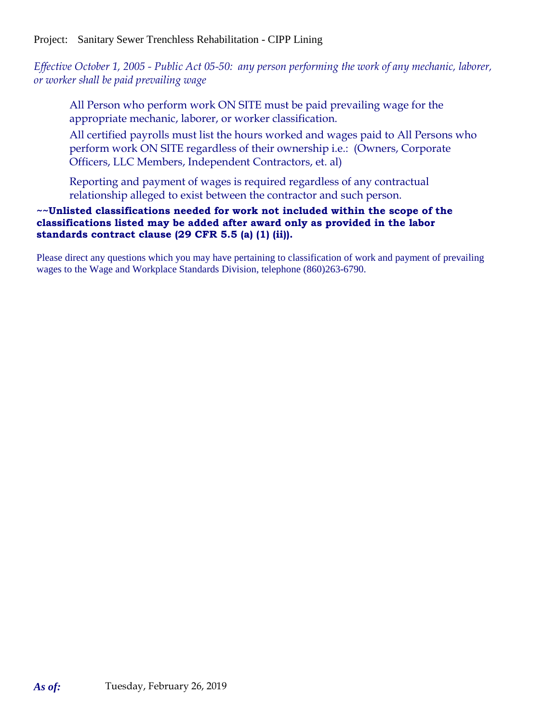## Project: Sanitary Sewer Trenchless Rehabilitation - CIPP Lining

*Effective October 1, 2005 - Public Act 05-50: any person performing the work of any mechanic, laborer, or worker shall be paid prevailing wage*

All Person who perform work ON SITE must be paid prevailing wage for the appropriate mechanic, laborer, or worker classification.

All certified payrolls must list the hours worked and wages paid to All Persons who perform work ON SITE regardless of their ownership i.e.: (Owners, Corporate Officers, LLC Members, Independent Contractors, et. al)

Reporting and payment of wages is required regardless of any contractual relationship alleged to exist between the contractor and such person.

#### **~~Unlisted classifications needed for work not included within the scope of the classifications listed may be added after award only as provided in the labor standards contract clause (29 CFR 5.5 (a) (1) (ii)).**

Please direct any questions which you may have pertaining to classification of work and payment of prevailing wages to the Wage and Workplace Standards Division, telephone (860)263-6790.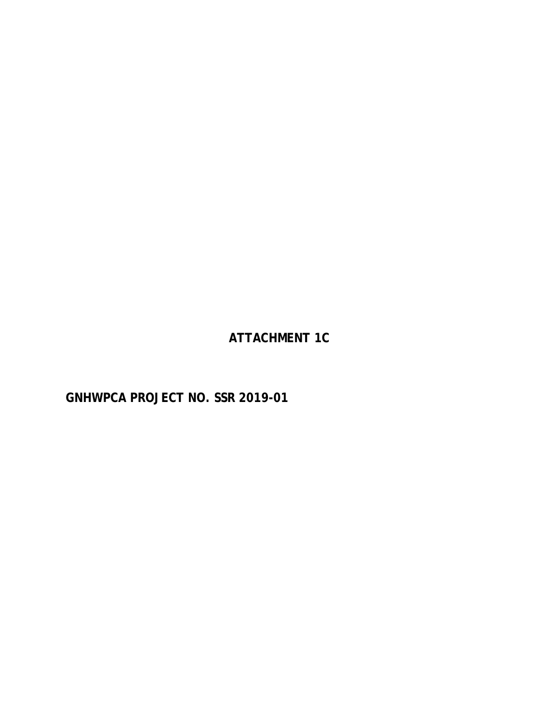**ATTACHMENT 1C**

**GNHWPCA PROJECT NO. SSR 2019-01**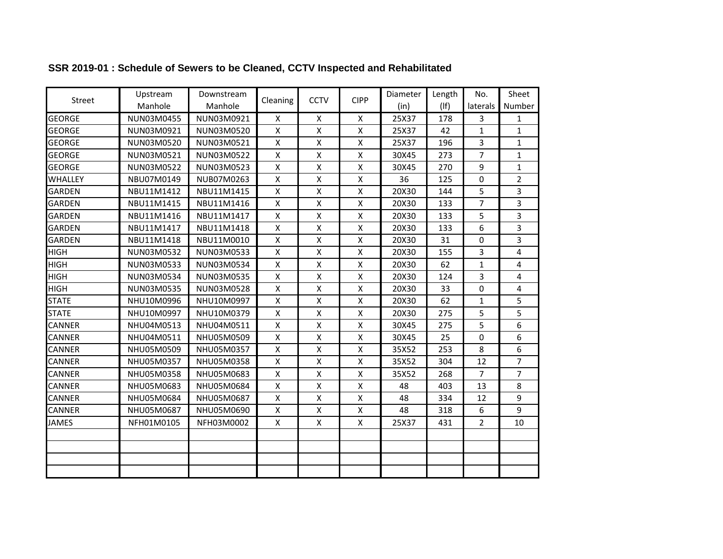| Street         | Upstream   | Downstream | Cleaning           | <b>CCTV</b>               | <b>CIPP</b>        | Diameter | Length     | No.            | Sheet          |
|----------------|------------|------------|--------------------|---------------------------|--------------------|----------|------------|----------------|----------------|
|                | Manhole    | Manhole    |                    |                           |                    | (in)     | $($ lf $)$ | laterals       | Number         |
| <b>GEORGE</b>  | NUN03M0455 | NUN03M0921 | X                  | $\pmb{\mathsf{X}}$        | X                  | 25X37    | 178        | 3              | 1              |
| <b>GEORGE</b>  | NUN03M0921 | NUN03M0520 | $\pmb{\mathsf{X}}$ | X                         | X                  | 25X37    | 42         | $\mathbf{1}$   | $\mathbf{1}$   |
| <b>GEORGE</b>  | NUN03M0520 | NUN03M0521 | X                  | $\boldsymbol{\mathsf{X}}$ | X                  | 25X37    | 196        | 3              | 1              |
| <b>GEORGE</b>  | NUN03M0521 | NUN03M0522 | X                  | $\mathsf{X}$              | $\mathsf{x}$       | 30X45    | 273        | 7              | $\mathbf{1}$   |
| <b>GEORGE</b>  | NUN03M0522 | NUN03M0523 | X                  | $\pmb{\mathsf{X}}$        | $\pmb{\mathsf{X}}$ | 30X45    | 270        | 9              | 1              |
| <b>WHALLEY</b> | NBU07M0149 | NUB07M0263 | X                  | X                         | $\mathsf{X}$       | 36       | 125        | 0              | $\overline{2}$ |
| <b>GARDEN</b>  | NBU11M1412 | NBU11M1415 | X                  | $\pmb{\mathsf{X}}$        | X                  | 20X30    | 144        | 5              | 3              |
| <b>GARDEN</b>  | NBU11M1415 | NBU11M1416 | X                  | $\mathsf{X}$              | $\pmb{\mathsf{X}}$ | 20X30    | 133        | $\overline{7}$ | 3              |
| <b>GARDEN</b>  | NBU11M1416 | NBU11M1417 | $\pmb{\mathsf{X}}$ | $\mathsf{\chi}$           | $\pmb{\mathsf{X}}$ | 20X30    | 133        | 5              | 3              |
| <b>GARDEN</b>  | NBU11M1417 | NBU11M1418 | X                  | X                         | X                  | 20X30    | 133        | 6              | 3              |
| <b>GARDEN</b>  | NBU11M1418 | NBU11M0010 | X                  | X                         | $\pmb{\mathsf{X}}$ | 20X30    | 31         | $\Omega$       | 3              |
| <b>HIGH</b>    | NUN03M0532 | NUN03M0533 | $\pmb{\mathsf{X}}$ | $\pmb{\mathsf{X}}$        | $\pmb{\mathsf{X}}$ | 20X30    | 155        | 3              | 4              |
| <b>HIGH</b>    | NUN03M0533 | NUN03M0534 | X                  | $\pmb{\mathsf{X}}$        | X                  | 20X30    | 62         | $\mathbf{1}$   | 4              |
| <b>HIGH</b>    | NUN03M0534 | NUN03M0535 | $\pmb{\mathsf{X}}$ | $\mathsf{X}$              | Χ                  | 20X30    | 124        | 3              | 4              |
| <b>HIGH</b>    | NUN03M0535 | NUN03M0528 | $\pmb{\mathsf{X}}$ | $\boldsymbol{\mathsf{X}}$ | $\pmb{\mathsf{X}}$ | 20X30    | 33         | $\Omega$       | 4              |
| <b>STATE</b>   | NHU10M0996 | NHU10M0997 | X                  | $\boldsymbol{\mathsf{X}}$ | X                  | 20X30    | 62         | $\mathbf{1}$   | 5              |
| <b>STATE</b>   | NHU10M0997 | NHU10M0379 | X                  | $\mathsf{X}$              | $\pmb{\times}$     | 20X30    | 275        | 5              | 5              |
| <b>CANNER</b>  | NHU04M0513 | NHU04M0511 | X                  | $\pmb{\mathsf{X}}$        | X                  | 30X45    | 275        | 5              | 6              |
| <b>CANNER</b>  | NHU04M0511 | NHU05M0509 | $\pmb{\mathsf{X}}$ | $\pmb{\mathsf{X}}$        | $\pmb{\mathsf{X}}$ | 30X45    | 25         | 0              | 6              |
| <b>CANNER</b>  | NHU05M0509 | NHU05M0357 | $\pmb{\mathsf{X}}$ | $\pmb{\mathsf{X}}$        | X                  | 35X52    | 253        | 8              | 6              |
| <b>CANNER</b>  | NHU05M0357 | NHU05M0358 | X                  | $\mathsf{X}$              | $\pmb{\mathsf{X}}$ | 35X52    | 304        | 12             | $\overline{7}$ |
| CANNER         | NHU05M0358 | NHU05M0683 | $\pmb{\mathsf{X}}$ | $\pmb{\mathsf{X}}$        | $\pmb{\mathsf{X}}$ | 35X52    | 268        | 7              | 7              |
| <b>CANNER</b>  | NHU05M0683 | NHU05M0684 | X                  | X                         | X                  | 48       | 403        | 13             | 8              |
| <b>CANNER</b>  | NHU05M0684 | NHU05M0687 | X                  | X                         | X                  | 48       | 334        | 12             | 9              |
| CANNER         | NHU05M0687 | NHU05M0690 | Χ                  | $\pmb{\mathsf{X}}$        | $\pmb{\times}$     | 48       | 318        | 6              | 9              |
| <b>JAMES</b>   | NFH01M0105 | NFH03M0002 | X                  | X                         | X                  | 25X37    | 431        | $\overline{2}$ | 10             |
|                |            |            |                    |                           |                    |          |            |                |                |
|                |            |            |                    |                           |                    |          |            |                |                |
|                |            |            |                    |                           |                    |          |            |                |                |
|                |            |            |                    |                           |                    |          |            |                |                |

# **SSR 2019-01 : Schedule of Sewers to be Cleaned, CCTV Inspected and Rehabilitated**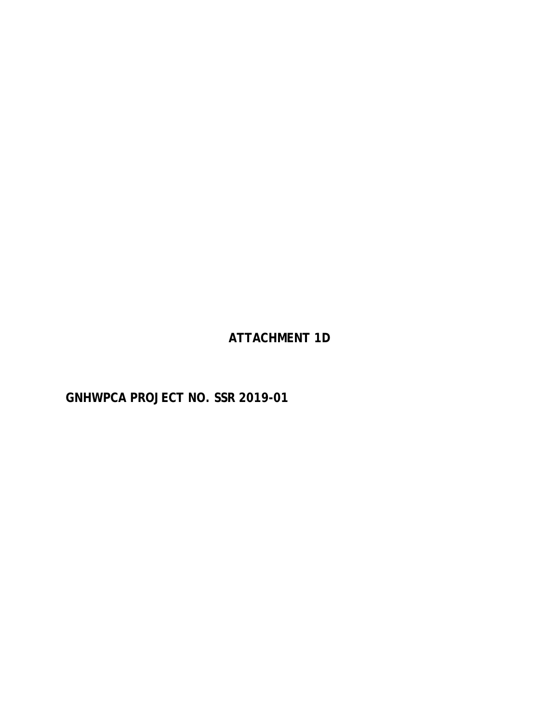**ATTACHMENT 1D**

**GNHWPCA PROJECT NO. SSR 2019-01**